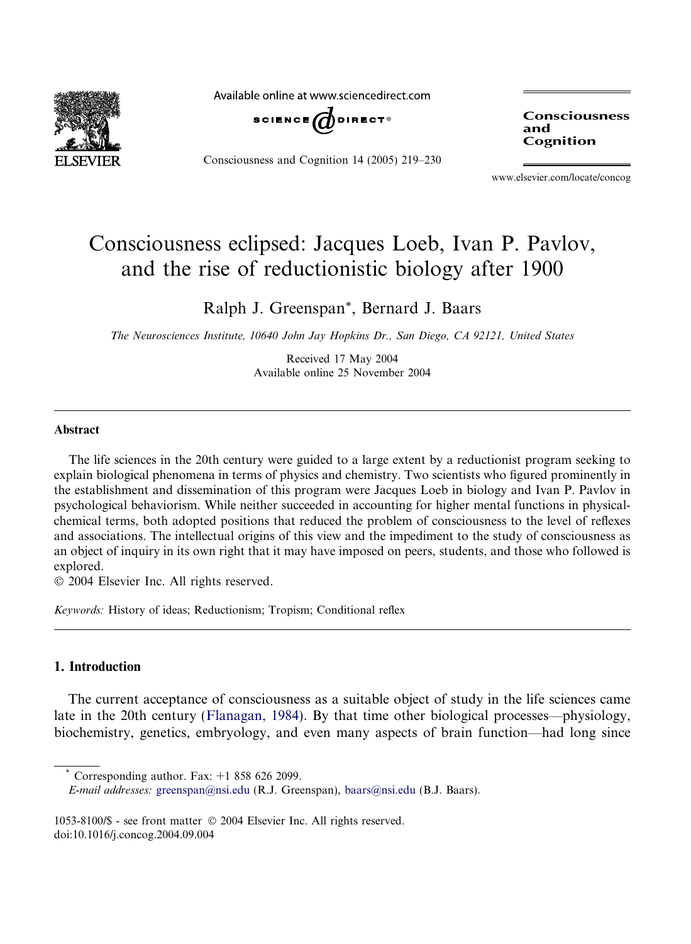

Available online at www.sciencedirect.com



Consciousness and Cognition 14 (2005) 219–230

Consciousness and Cognition

www.elsevier.com/locate/concog

# Consciousness eclipsed: Jacques Loeb, Ivan P. Pavlov, and the rise of reductionistic biology after 1900

Ralph J. Greenspan\*, Bernard J. Baars

The Neurosciences Institute, 10640 John Jay Hopkins Dr., San Diego, CA 92121, United States

Received 17 May 2004 Available online 25 November 2004

#### Abstract

The life sciences in the 20th century were guided to a large extent by a reductionist program seeking to explain biological phenomena in terms of physics and chemistry. Two scientists who figured prominently in the establishment and dissemination of this program were Jacques Loeb in biology and Ivan P. Pavlov in psychological behaviorism. While neither succeeded in accounting for higher mental functions in physicalchemical terms, both adopted positions that reduced the problem of consciousness to the level of reflexes and associations. The intellectual origins of this view and the impediment to the study of consciousness as an object of inquiry in its own right that it may have imposed on peers, students, and those who followed is explored.

2004 Elsevier Inc. All rights reserved.

Keywords: History of ideas; Reductionism; Tropism; Conditional reflex

# 1. Introduction

The current acceptance of consciousness as a suitable object of study in the life sciences came late in the 20th century [\(Flanagan, 1984\)](#page-10-0). By that time other biological processes—physiology, biochemistry, genetics, embryology, and even many aspects of brain function—had long since

Corresponding author. Fax:  $+1$  858 626 2099.

E-mail addresses: [greenspan@nsi.edu](mailto:greenspan@nsi.edu ) (R.J. Greenspan), [baars@nsi.edu](mailto:baars@nsi.edu ) (B.J. Baars).

<sup>1053-8100/\$ -</sup> see front matter 2004 Elsevier Inc. All rights reserved. doi:10.1016/j.concog.2004.09.004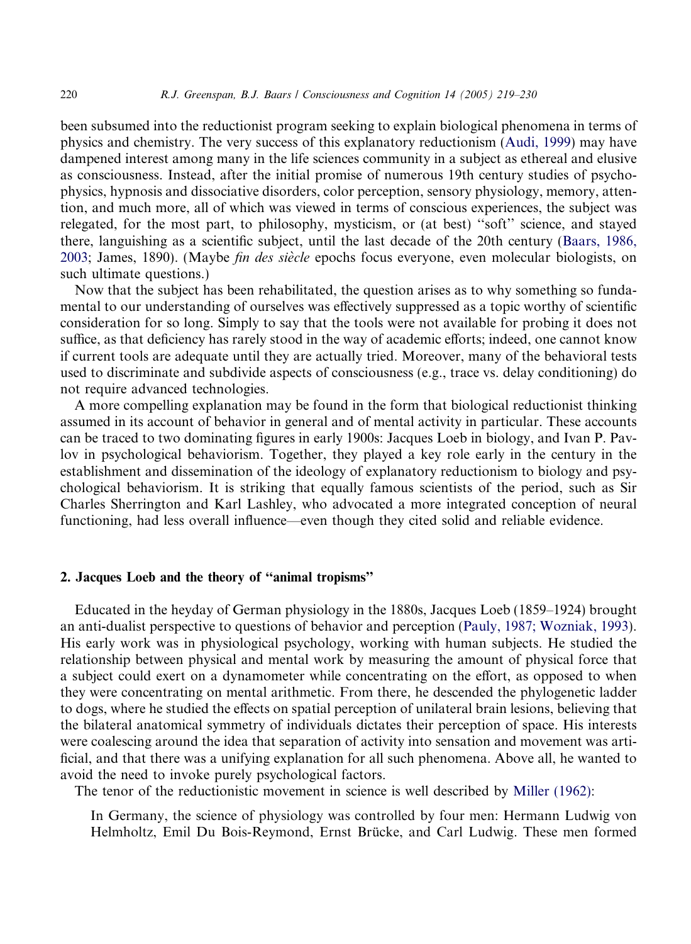been subsumed into the reductionist program seeking to explain biological phenomena in terms of physics and chemistry. The very success of this explanatory reductionism [\(Audi, 1999\)](#page-9-0) may have dampened interest among many in the life sciences community in a subject as ethereal and elusive as consciousness. Instead, after the initial promise of numerous 19th century studies of psychophysics, hypnosis and dissociative disorders, color perception, sensory physiology, memory, attention, and much more, all of which was viewed in terms of conscious experiences, the subject was relegated, for the most part, to philosophy, mysticism, or (at best) ''soft'' science, and stayed there, languishing as a scientific subject, until the last decade of the 20th century [\(Baars, 1986,](#page-10-0) [2003](#page-10-0); James, 1890). (Maybe *fin des siècle* epochs focus everyone, even molecular biologists, on such ultimate questions.)

Now that the subject has been rehabilitated, the question arises as to why something so fundamental to our understanding of ourselves was effectively suppressed as a topic worthy of scientific consideration for so long. Simply to say that the tools were not available for probing it does not suffice, as that deficiency has rarely stood in the way of academic efforts; indeed, one cannot know if current tools are adequate until they are actually tried. Moreover, many of the behavioral tests used to discriminate and subdivide aspects of consciousness (e.g., trace vs. delay conditioning) do not require advanced technologies.

A more compelling explanation may be found in the form that biological reductionist thinking assumed in its account of behavior in general and of mental activity in particular. These accounts can be traced to two dominating figures in early 1900s: Jacques Loeb in biology, and Ivan P. Pavlov in psychological behaviorism. Together, they played a key role early in the century in the establishment and dissemination of the ideology of explanatory reductionism to biology and psychological behaviorism. It is striking that equally famous scientists of the period, such as Sir Charles Sherrington and Karl Lashley, who advocated a more integrated conception of neural functioning, had less overall influence—even though they cited solid and reliable evidence.

## 2. Jacques Loeb and the theory of ''animal tropisms''

Educated in the heyday of German physiology in the 1880s, Jacques Loeb (1859–1924) brought an anti-dualist perspective to questions of behavior and perception [\(Pauly, 1987; Wozniak, 1993](#page-10-0)). His early work was in physiological psychology, working with human subjects. He studied the relationship between physical and mental work by measuring the amount of physical force that a subject could exert on a dynamometer while concentrating on the effort, as opposed to when they were concentrating on mental arithmetic. From there, he descended the phylogenetic ladder to dogs, where he studied the effects on spatial perception of unilateral brain lesions, believing that the bilateral anatomical symmetry of individuals dictates their perception of space. His interests were coalescing around the idea that separation of activity into sensation and movement was artificial, and that there was a unifying explanation for all such phenomena. Above all, he wanted to avoid the need to invoke purely psychological factors.

The tenor of the reductionistic movement in science is well described by [Miller \(1962\):](#page-10-0)

In Germany, the science of physiology was controlled by four men: Hermann Ludwig von Helmholtz, Emil Du Bois-Reymond, Ernst Brücke, and Carl Ludwig. These men formed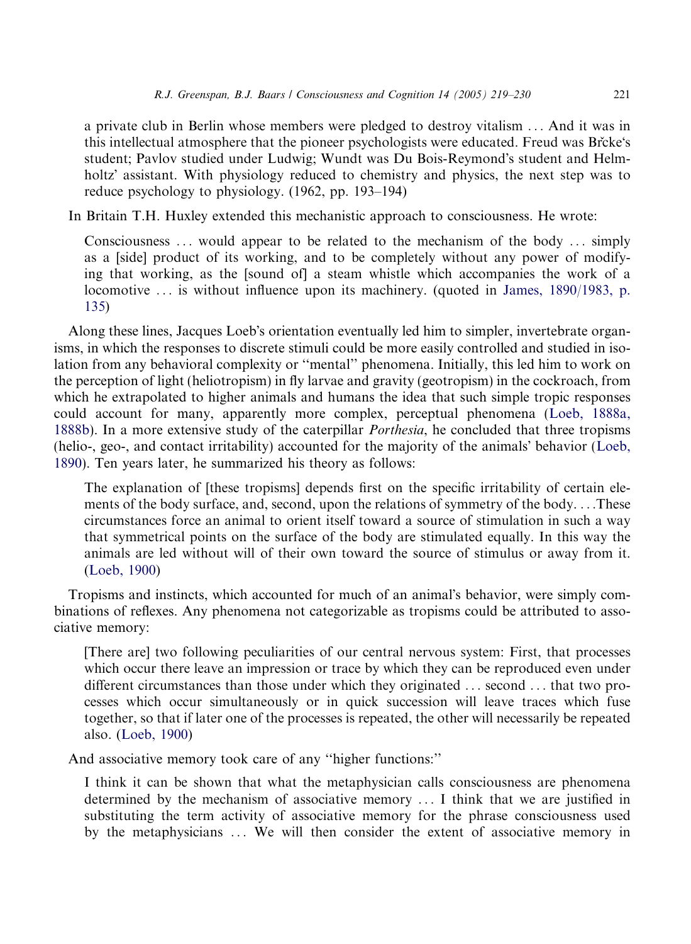a private club in Berlin whose members were pledged to destroy vitalism ... And it was in this intellectual atmosphere that the pioneer psychologists were educated. Freud was Brcke's student; Pavlov studied under Ludwig; Wundt was Du Bois-Reymond's student and Helmholtz' assistant. With physiology reduced to chemistry and physics, the next step was to reduce psychology to physiology. (1962, pp. 193–194)

In Britain T.H. Huxley extended this mechanistic approach to consciousness. He wrote:

Consciousness ... would appear to be related to the mechanism of the body ... simply as a [side] product of its working, and to be completely without any power of modifying that working, as the [sound of] a steam whistle which accompanies the work of a locomotive ... is without influence upon its machinery. (quoted in [James, 1890/1983, p.](#page-10-0) [135\)](#page-10-0)

Along these lines, Jacques Loeb's orientation eventually led him to simpler, invertebrate organisms, in which the responses to discrete stimuli could be more easily controlled and studied in isolation from any behavioral complexity or ''mental'' phenomena. Initially, this led him to work on the perception of light (heliotropism) in fly larvae and gravity (geotropism) in the cockroach, from which he extrapolated to higher animals and humans the idea that such simple tropic responses could account for many, apparently more complex, perceptual phenomena ([Loeb, 1888a,](#page-10-0) [1888b](#page-10-0)). In a more extensive study of the caterpillar Porthesia, he concluded that three tropisms (helio-, geo-, and contact irritability) accounted for the majority of the animals' behavior ([Loeb,](#page-10-0) [1890](#page-10-0)). Ten years later, he summarized his theory as follows:

The explanation of [these tropisms] depends first on the specific irritability of certain elements of the body surface, and, second, upon the relations of symmetry of the body. ...These circumstances force an animal to orient itself toward a source of stimulation in such a way that symmetrical points on the surface of the body are stimulated equally. In this way the animals are led without will of their own toward the source of stimulus or away from it. [\(Loeb, 1900\)](#page-10-0)

Tropisms and instincts, which accounted for much of an animal's behavior, were simply combinations of reflexes. Any phenomena not categorizable as tropisms could be attributed to associative memory:

[There are] two following peculiarities of our central nervous system: First, that processes which occur there leave an impression or trace by which they can be reproduced even under different circumstances than those under which they originated ... second ... that two processes which occur simultaneously or in quick succession will leave traces which fuse together, so that if later one of the processes is repeated, the other will necessarily be repeated also. [\(Loeb, 1900](#page-10-0))

And associative memory took care of any ''higher functions:''

I think it can be shown that what the metaphysician calls consciousness are phenomena determined by the mechanism of associative memory ... I think that we are justified in substituting the term activity of associative memory for the phrase consciousness used by the metaphysicians ... We will then consider the extent of associative memory in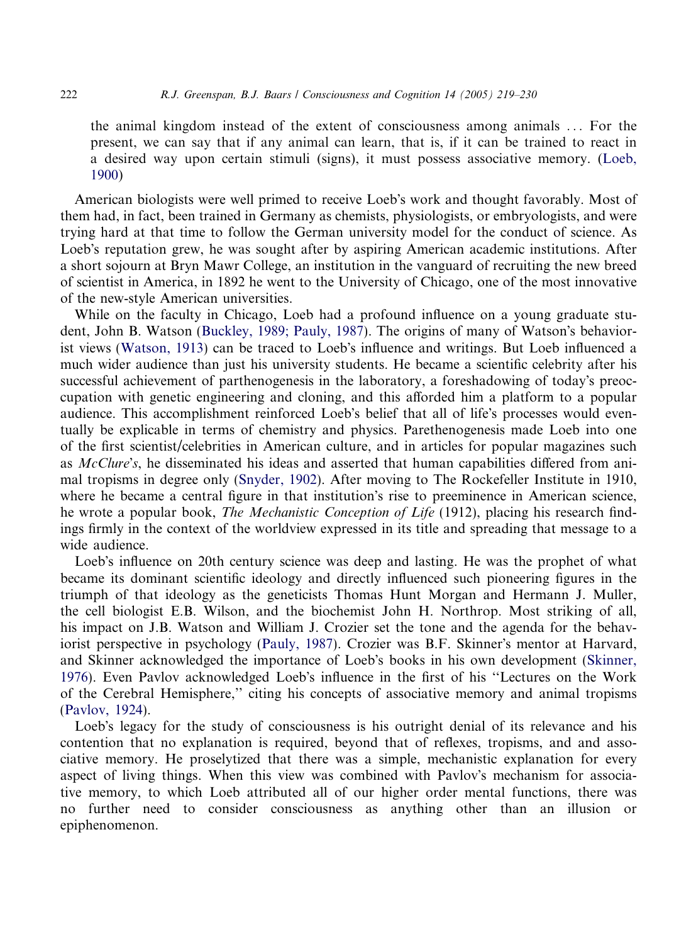the animal kingdom instead of the extent of consciousness among animals ... For the present, we can say that if any animal can learn, that is, if it can be trained to react in a desired way upon certain stimuli (signs), it must possess associative memory. ([Loeb,](#page-10-0) [1900](#page-10-0))

American biologists were well primed to receive Loeb's work and thought favorably. Most of them had, in fact, been trained in Germany as chemists, physiologists, or embryologists, and were trying hard at that time to follow the German university model for the conduct of science. As Loeb's reputation grew, he was sought after by aspiring American academic institutions. After a short sojourn at Bryn Mawr College, an institution in the vanguard of recruiting the new breed of scientist in America, in 1892 he went to the University of Chicago, one of the most innovative of the new-style American universities.

While on the faculty in Chicago, Loeb had a profound influence on a young graduate stu-dent, John B. Watson ([Buckley, 1989; Pauly, 1987](#page-10-0)). The origins of many of Watson's behavior-ist views [\(Watson, 1913](#page-11-0)) can be traced to Loeb's influence and writings. But Loeb influenced a much wider audience than just his university students. He became a scientific celebrity after his successful achievement of parthenogenesis in the laboratory, a foreshadowing of today's preoccupation with genetic engineering and cloning, and this afforded him a platform to a popular audience. This accomplishment reinforced Loeb's belief that all of life's processes would eventually be explicable in terms of chemistry and physics. Parethenogenesis made Loeb into one of the first scientist/celebrities in American culture, and in articles for popular magazines such as *McClure's*, he disseminated his ideas and asserted that human capabilities differed from animal tropisms in degree only [\(Snyder, 1902\)](#page-11-0). After moving to The Rockefeller Institute in 1910, where he became a central figure in that institution's rise to preeminence in American science, he wrote a popular book, The Mechanistic Conception of Life (1912), placing his research findings firmly in the context of the worldview expressed in its title and spreading that message to a wide audience.

Loeb's influence on 20th century science was deep and lasting. He was the prophet of what became its dominant scientific ideology and directly influenced such pioneering figures in the triumph of that ideology as the geneticists Thomas Hunt Morgan and Hermann J. Muller, the cell biologist E.B. Wilson, and the biochemist John H. Northrop. Most striking of all, his impact on J.B. Watson and William J. Crozier set the tone and the agenda for the behav-iorist perspective in psychology [\(Pauly, 1987](#page-10-0)). Crozier was B.F. Skinner's mentor at Harvard, and Skinner acknowledged the importance of Loeb's books in his own development ([Skinner,](#page-10-0) [1976](#page-10-0)). Even Pavlov acknowledged Loeb's influence in the first of his "Lectures on the Work of the Cerebral Hemisphere,'' citing his concepts of associative memory and animal tropisms [\(Pavlov, 1924](#page-10-0)).

Loeb's legacy for the study of consciousness is his outright denial of its relevance and his contention that no explanation is required, beyond that of reflexes, tropisms, and and associative memory. He proselytized that there was a simple, mechanistic explanation for every aspect of living things. When this view was combined with Pavlov's mechanism for associative memory, to which Loeb attributed all of our higher order mental functions, there was no further need to consider consciousness as anything other than an illusion or epiphenomenon.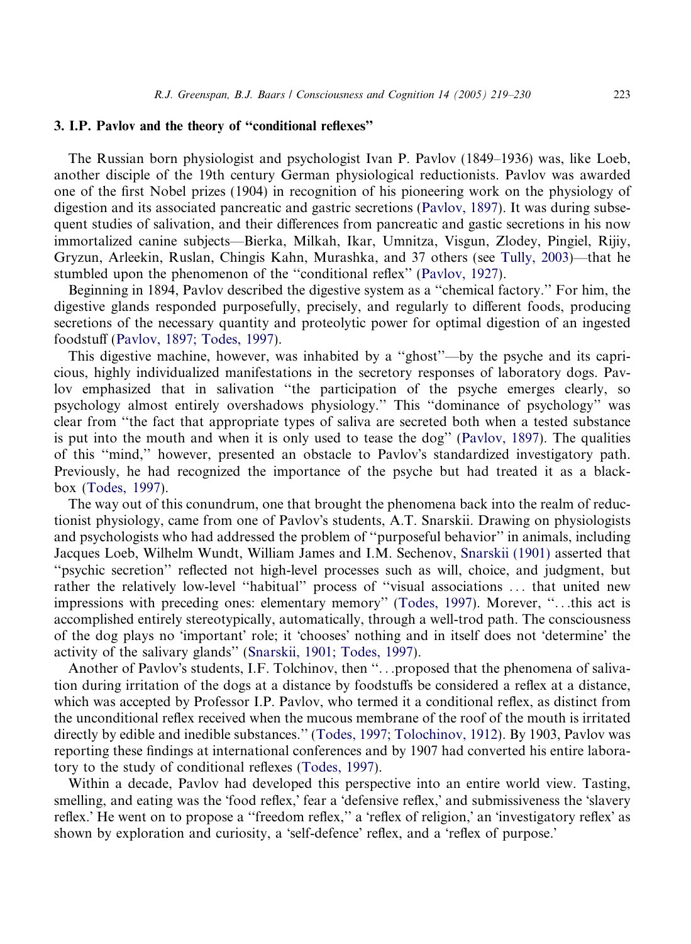#### 3. I.P. Pavlov and the theory of ''conditional reflexes''

The Russian born physiologist and psychologist Ivan P. Pavlov (1849–1936) was, like Loeb, another disciple of the 19th century German physiological reductionists. Pavlov was awarded one of the first Nobel prizes (1904) in recognition of his pioneering work on the physiology of digestion and its associated pancreatic and gastric secretions [\(Pavlov, 1897](#page-10-0)). It was during subsequent studies of salivation, and their differences from pancreatic and gastic secretions in his now immortalized canine subjects—Bierka, Milkah, Ikar, Umnitza, Visgun, Zlodey, Pingiel, Rijiy, Gryzun, Arleekin, Ruslan, Chingis Kahn, Murashka, and 37 others (see [Tully, 2003](#page-11-0))—that he stumbled upon the phenomenon of the ''conditional reflex'' [\(Pavlov, 1927\)](#page-10-0).

Beginning in 1894, Pavlov described the digestive system as a ''chemical factory.'' For him, the digestive glands responded purposefully, precisely, and regularly to different foods, producing secretions of the necessary quantity and proteolytic power for optimal digestion of an ingested foodstuff ([Pavlov, 1897; Todes, 1997\)](#page-10-0).

This digestive machine, however, was inhabited by a ''ghost''—by the psyche and its capricious, highly individualized manifestations in the secretory responses of laboratory dogs. Pavlov emphasized that in salivation ''the participation of the psyche emerges clearly, so psychology almost entirely overshadows physiology.'' This ''dominance of psychology'' was clear from ''the fact that appropriate types of saliva are secreted both when a tested substance is put into the mouth and when it is only used to tease the dog'' ([Pavlov, 1897\)](#page-10-0). The qualities of this "mind," however, presented an obstacle to Pavlov's standardized investigatory path. Previously, he had recognized the importance of the psyche but had treated it as a blackbox [\(Todes, 1997](#page-11-0)).

The way out of this conundrum, one that brought the phenomena back into the realm of reductionist physiology, came from one of Pavlov's students, A.T. Snarskii. Drawing on physiologists and psychologists who had addressed the problem of ''purposeful behavior'' in animals, including Jacques Loeb, Wilhelm Wundt, William James and I.M. Sechenov, [Snarskii \(1901\)](#page-11-0) asserted that ''psychic secretion'' reflected not high-level processes such as will, choice, and judgment, but rather the relatively low-level ''habitual'' process of ''visual associations ... that united new impressions with preceding ones: elementary memory'' [\(Todes, 1997\)](#page-11-0). Morever, ''...this act is accomplished entirely stereotypically, automatically, through a well-trod path. The consciousness of the dog plays no 'important' role; it 'chooses' nothing and in itself does not 'determine' the activity of the salivary glands'' [\(Snarskii, 1901; Todes, 1997](#page-11-0)).

Another of Pavlov's students, I.F. Tolchinov, then "...proposed that the phenomena of salivation during irritation of the dogs at a distance by foodstuffs be considered a reflex at a distance, which was accepted by Professor I.P. Pavlov, who termed it a conditional reflex, as distinct from the unconditional reflex received when the mucous membrane of the roof of the mouth is irritated directly by edible and inedible substances.'' [\(Todes, 1997; Tolochinov, 1912](#page-11-0)). By 1903, Pavlov was reporting these findings at international conferences and by 1907 had converted his entire laboratory to the study of conditional reflexes ([Todes, 1997\)](#page-11-0).

Within a decade, Pavlov had developed this perspective into an entire world view. Tasting, smelling, and eating was the 'food reflex,' fear a 'defensive reflex,' and submissiveness the 'slavery reflex.' He went on to propose a "freedom reflex," a 'reflex of religion,' an 'investigatory reflex' as shown by exploration and curiosity, a 'self-defence' reflex, and a 'reflex of purpose.'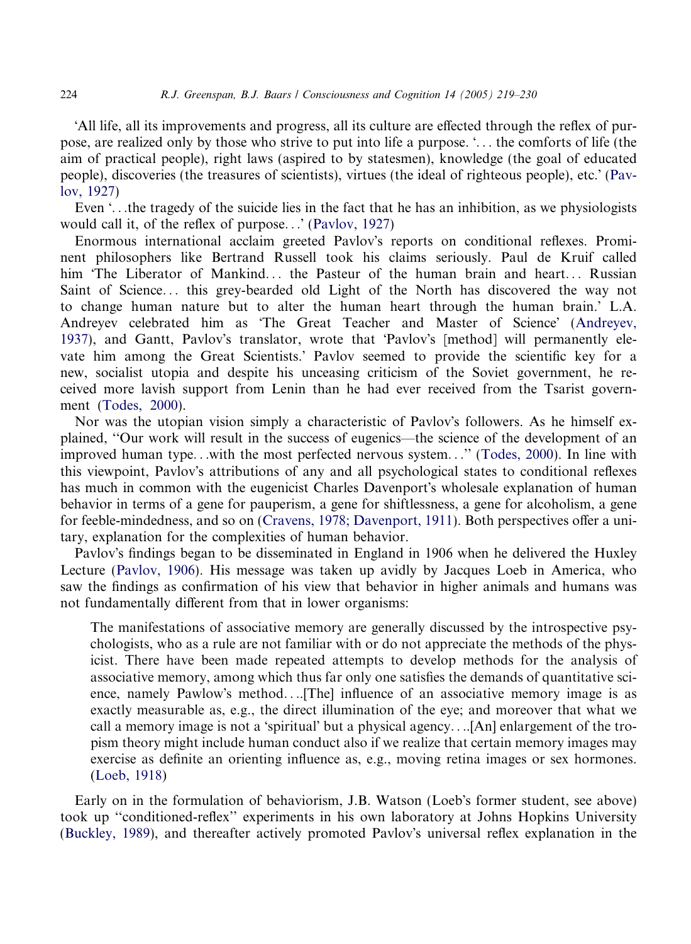All life, all its improvements and progress, all its culture are effected through the reflex of purpose, are realized only by those who strive to put into life a purpose. '... the comforts of life (the aim of practical people), right laws (aspired to by statesmen), knowledge (the goal of educated people), discoveries (the treasures of scientists), virtues (the ideal of righteous people), etc.' ([Pav](#page-10-0)[lov, 1927](#page-10-0))

Even ...the tragedy of the suicide lies in the fact that he has an inhibition, as we physiologists would call it, of the reflex of purpose...' ([Pavlov, 1927](#page-10-0))

Enormous international acclaim greeted Pavlov's reports on conditional reflexes. Prominent philosophers like Bertrand Russell took his claims seriously. Paul de Kruif called him The Liberator of Mankind... the Pasteur of the human brain and heart... Russian Saint of Science... this grey-bearded old Light of the North has discovered the way not to change human nature but to alter the human heart through the human brain.' L.A. Andreyev celebrated him as 'The Great Teacher and Master of Science' [\(Andreyev,](#page-9-0) [1937](#page-9-0)), and Gantt, Pavlov's translator, wrote that 'Pavlov's [method] will permanently elevate him among the Great Scientists.' Pavlov seemed to provide the scientific key for a new, socialist utopia and despite his unceasing criticism of the Soviet government, he received more lavish support from Lenin than he had ever received from the Tsarist government ([Todes, 2000](#page-11-0)).

Nor was the utopian vision simply a characteristic of Pavlov's followers. As he himself explained, ''Our work will result in the success of eugenics—the science of the development of an improved human type...with the most perfected nervous system...'' ([Todes, 2000](#page-11-0)). In line with this viewpoint, Pavlov's attributions of any and all psychological states to conditional reflexes has much in common with the eugenicist Charles Davenport's wholesale explanation of human behavior in terms of a gene for pauperism, a gene for shiftlessness, a gene for alcoholism, a gene for feeble-mindedness, and so on ([Cravens, 1978; Davenport, 1911\)](#page-10-0). Both perspectives offer a unitary, explanation for the complexities of human behavior.

Pavlov's findings began to be disseminated in England in 1906 when he delivered the Huxley Lecture ([Pavlov, 1906\)](#page-10-0). His message was taken up avidly by Jacques Loeb in America, who saw the findings as confirmation of his view that behavior in higher animals and humans was not fundamentally different from that in lower organisms:

The manifestations of associative memory are generally discussed by the introspective psychologists, who as a rule are not familiar with or do not appreciate the methods of the physicist. There have been made repeated attempts to develop methods for the analysis of associative memory, among which thus far only one satisfies the demands of quantitative science, namely Pawlow's method....[The] influence of an associative memory image is as exactly measurable as, e.g., the direct illumination of the eye; and moreover that what we call a memory image is not a 'spiritual' but a physical agency....[An] enlargement of the tropism theory might include human conduct also if we realize that certain memory images may exercise as definite an orienting influence as, e.g., moving retina images or sex hormones. ([Loeb, 1918\)](#page-10-0)

Early on in the formulation of behaviorism, J.B. Watson (Loeb's former student, see above) took up ''conditioned-reflex'' experiments in his own laboratory at Johns Hopkins University [\(Buckley, 1989](#page-10-0)), and thereafter actively promoted Pavlov's universal reflex explanation in the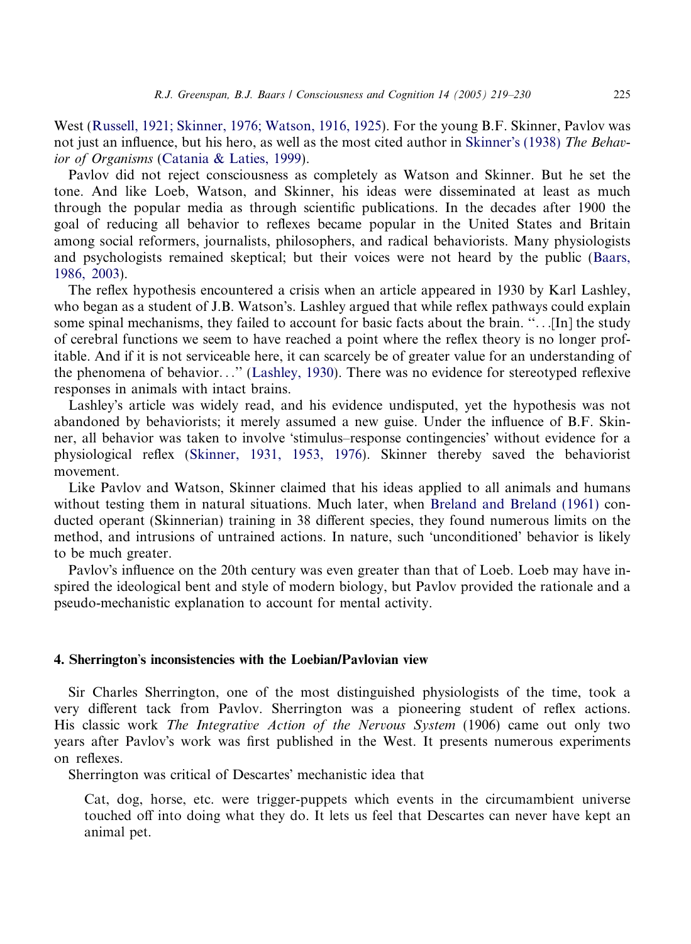West [\(Russell, 1921; Skinner, 1976; Watson, 1916, 1925](#page-10-0)). For the young B.F. Skinner, Pavlov was not just an influence, but his hero, as well as the most cited author in Skinner'[s \(1938\)](#page-10-0) The Behavior of Organisms ([Catania & Laties, 1999](#page-10-0)).

Pavlov did not reject consciousness as completely as Watson and Skinner. But he set the tone. And like Loeb, Watson, and Skinner, his ideas were disseminated at least as much through the popular media as through scientific publications. In the decades after 1900 the goal of reducing all behavior to reflexes became popular in the United States and Britain among social reformers, journalists, philosophers, and radical behaviorists. Many physiologists and psychologists remained skeptical; but their voices were not heard by the public [\(Baars,](#page-10-0) [1986, 2003](#page-10-0)).

The reflex hypothesis encountered a crisis when an article appeared in 1930 by Karl Lashley, who began as a student of J.B. Watson's. Lashley argued that while reflex pathways could explain some spinal mechanisms, they failed to account for basic facts about the brain. "...[In] the study of cerebral functions we seem to have reached a point where the reflex theory is no longer profitable. And if it is not serviceable here, it can scarcely be of greater value for an understanding of the phenomena of behavior...'' [\(Lashley, 1930\)](#page-10-0). There was no evidence for stereotyped reflexive responses in animals with intact brains.

Lashley's article was widely read, and his evidence undisputed, yet the hypothesis was not abandoned by behaviorists; it merely assumed a new guise. Under the influence of B.F. Skinner, all behavior was taken to involve 'stimulus–response contingencies' without evidence for a physiological reflex ([Skinner, 1931, 1953, 1976](#page-10-0)). Skinner thereby saved the behaviorist movement.

Like Pavlov and Watson, Skinner claimed that his ideas applied to all animals and humans without testing them in natural situations. Much later, when [Breland and Breland \(1961\)](#page-10-0) conducted operant (Skinnerian) training in 38 different species, they found numerous limits on the method, and intrusions of untrained actions. In nature, such 'unconditioned' behavior is likely to be much greater.

Pavlov's influence on the 20th century was even greater than that of Loeb. Loeb may have inspired the ideological bent and style of modern biology, but Pavlov provided the rationale and a pseudo-mechanistic explanation to account for mental activity.

## 4. Sherrington's inconsistencies with the Loebian/Pavlovian view

Sir Charles Sherrington, one of the most distinguished physiologists of the time, took a very different tack from Pavlov. Sherrington was a pioneering student of reflex actions. His classic work The Integrative Action of the Nervous System (1906) came out only two years after Pavlov's work was first published in the West. It presents numerous experiments on reflexes.

Sherrington was critical of Descartes' mechanistic idea that

Cat, dog, horse, etc. were trigger-puppets which events in the circumambient universe touched off into doing what they do. It lets us feel that Descartes can never have kept an animal pet.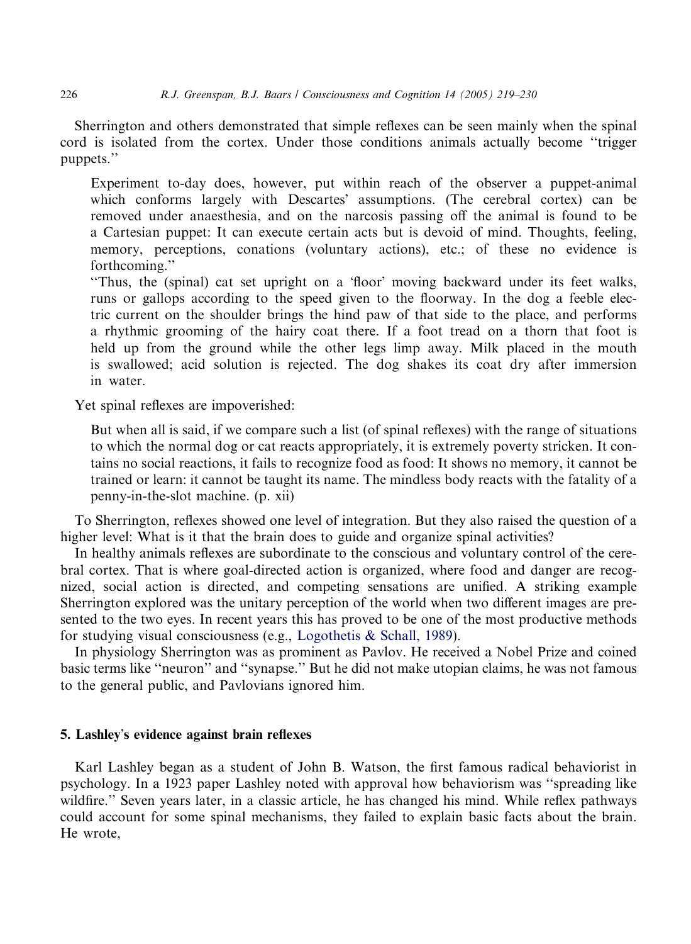Sherrington and others demonstrated that simple reflexes can be seen mainly when the spinal cord is isolated from the cortex. Under those conditions animals actually become ''trigger puppets.''

Experiment to-day does, however, put within reach of the observer a puppet-animal which conforms largely with Descartes' assumptions. (The cerebral cortex) can be removed under anaesthesia, and on the narcosis passing off the animal is found to be a Cartesian puppet: It can execute certain acts but is devoid of mind. Thoughts, feeling, memory, perceptions, conations (voluntary actions), etc.; of these no evidence is forthcoming.''

"Thus, the (spinal) cat set upright on a 'floor' moving backward under its feet walks, runs or gallops according to the speed given to the floorway. In the dog a feeble electric current on the shoulder brings the hind paw of that side to the place, and performs a rhythmic grooming of the hairy coat there. If a foot tread on a thorn that foot is held up from the ground while the other legs limp away. Milk placed in the mouth is swallowed; acid solution is rejected. The dog shakes its coat dry after immersion in water.

Yet spinal reflexes are impoverished:

But when all is said, if we compare such a list (of spinal reflexes) with the range of situations to which the normal dog or cat reacts appropriately, it is extremely poverty stricken. It contains no social reactions, it fails to recognize food as food: It shows no memory, it cannot be trained or learn: it cannot be taught its name. The mindless body reacts with the fatality of a penny-in-the-slot machine. (p. xii)

To Sherrington, reflexes showed one level of integration. But they also raised the question of a higher level: What is it that the brain does to guide and organize spinal activities?

In healthy animals reflexes are subordinate to the conscious and voluntary control of the cerebral cortex. That is where goal-directed action is organized, where food and danger are recognized, social action is directed, and competing sensations are unified. A striking example Sherrington explored was the unitary perception of the world when two different images are presented to the two eyes. In recent years this has proved to be one of the most productive methods for studying visual consciousness (e.g., [Logothetis & Schall, 1989\)](#page-10-0).

In physiology Sherrington was as prominent as Pavlov. He received a Nobel Prize and coined basic terms like ''neuron'' and ''synapse.'' But he did not make utopian claims, he was not famous to the general public, and Pavlovians ignored him.

## 5. Lashley's evidence against brain reflexes

Karl Lashley began as a student of John B. Watson, the first famous radical behaviorist in psychology. In a 1923 paper Lashley noted with approval how behaviorism was ''spreading like wildfire.'' Seven years later, in a classic article, he has changed his mind. While reflex pathways could account for some spinal mechanisms, they failed to explain basic facts about the brain. He wrote,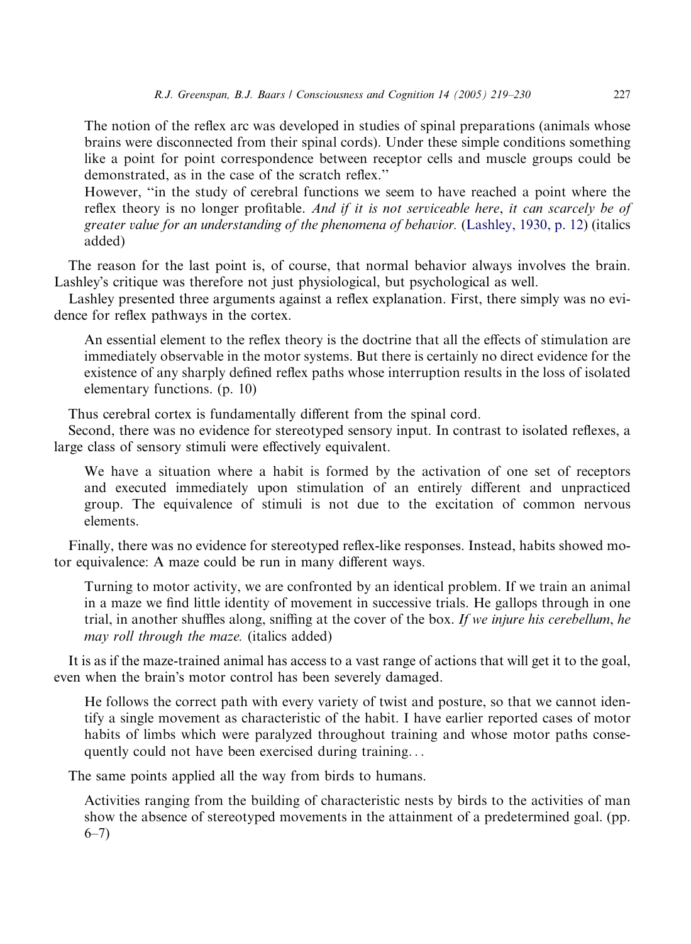The notion of the reflex arc was developed in studies of spinal preparations (animals whose brains were disconnected from their spinal cords). Under these simple conditions something like a point for point correspondence between receptor cells and muscle groups could be demonstrated, as in the case of the scratch reflex.''

However, ''in the study of cerebral functions we seem to have reached a point where the reflex theory is no longer profitable. And if it is not serviceable here, it can scarcely be of greater value for an understanding of the phenomena of behavior. [\(Lashley, 1930, p. 12\)](#page-10-0) (italics added)

The reason for the last point is, of course, that normal behavior always involves the brain. Lashley's critique was therefore not just physiological, but psychological as well.

Lashley presented three arguments against a reflex explanation. First, there simply was no evidence for reflex pathways in the cortex.

An essential element to the reflex theory is the doctrine that all the effects of stimulation are immediately observable in the motor systems. But there is certainly no direct evidence for the existence of any sharply defined reflex paths whose interruption results in the loss of isolated elementary functions. (p. 10)

Thus cerebral cortex is fundamentally different from the spinal cord.

Second, there was no evidence for stereotyped sensory input. In contrast to isolated reflexes, a large class of sensory stimuli were effectively equivalent.

We have a situation where a habit is formed by the activation of one set of receptors and executed immediately upon stimulation of an entirely different and unpracticed group. The equivalence of stimuli is not due to the excitation of common nervous elements.

Finally, there was no evidence for stereotyped reflex-like responses. Instead, habits showed motor equivalence: A maze could be run in many different ways.

Turning to motor activity, we are confronted by an identical problem. If we train an animal in a maze we find little identity of movement in successive trials. He gallops through in one trial, in another shuffles along, sniffing at the cover of the box. If we injure his cerebellum, he may roll through the maze. (italics added)

It is as if the maze-trained animal has access to a vast range of actions that will get it to the goal, even when the brain's motor control has been severely damaged.

He follows the correct path with every variety of twist and posture, so that we cannot identify a single movement as characteristic of the habit. I have earlier reported cases of motor habits of limbs which were paralyzed throughout training and whose motor paths consequently could not have been exercised during training...

The same points applied all the way from birds to humans.

Activities ranging from the building of characteristic nests by birds to the activities of man show the absence of stereotyped movements in the attainment of a predetermined goal. (pp. 6–7)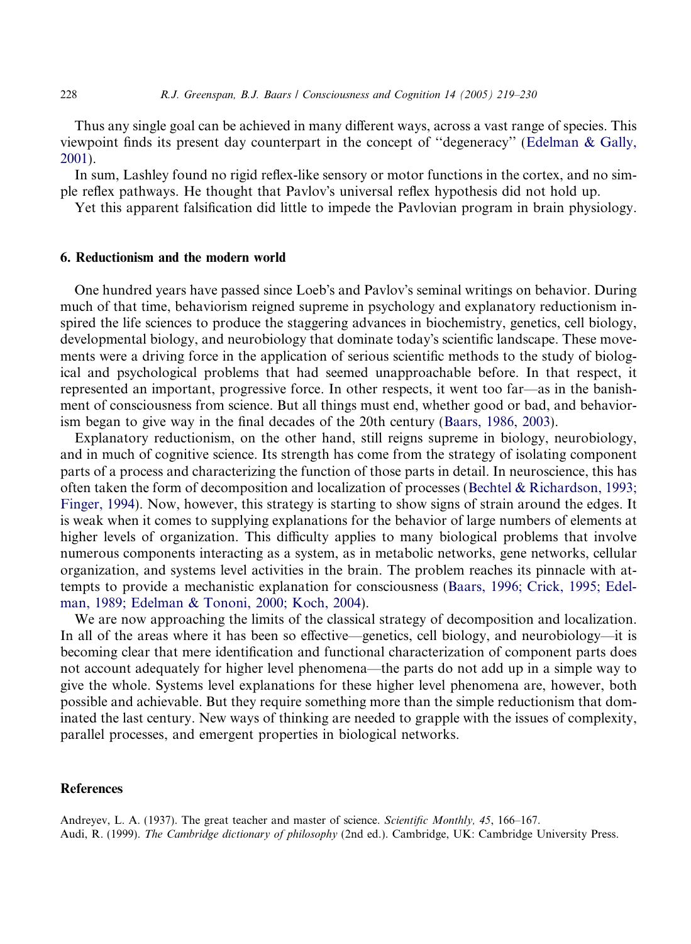Thus any single goal can be achieved in many different ways, across a vast range of species. This viewpoint finds its present day counterpart in the concept of ''degeneracy'' ([Edelman & Gally,](#page-10-0) [2001](#page-10-0)).

In sum, Lashley found no rigid reflex-like sensory or motor functions in the cortex, and no simple reflex pathways. He thought that Pavlov's universal reflex hypothesis did not hold up.

Yet this apparent falsification did little to impede the Pavlovian program in brain physiology.

## 6. Reductionism and the modern world

One hundred years have passed since Loeb's and Pavlov's seminal writings on behavior. During much of that time, behaviorism reigned supreme in psychology and explanatory reductionism inspired the life sciences to produce the staggering advances in biochemistry, genetics, cell biology, developmental biology, and neurobiology that dominate today's scientific landscape. These movements were a driving force in the application of serious scientific methods to the study of biological and psychological problems that had seemed unapproachable before. In that respect, it represented an important, progressive force. In other respects, it went too far—as in the banishment of consciousness from science. But all things must end, whether good or bad, and behaviorism began to give way in the final decades of the 20th century ([Baars, 1986, 2003](#page-10-0)).

Explanatory reductionism, on the other hand, still reigns supreme in biology, neurobiology, and in much of cognitive science. Its strength has come from the strategy of isolating component parts of a process and characterizing the function of those parts in detail. In neuroscience, this has often taken the form of decomposition and localization of processes ([Bechtel & Richardson, 1993;](#page-10-0) [Finger, 1994](#page-10-0)). Now, however, this strategy is starting to show signs of strain around the edges. It is weak when it comes to supplying explanations for the behavior of large numbers of elements at higher levels of organization. This difficulty applies to many biological problems that involve numerous components interacting as a system, as in metabolic networks, gene networks, cellular organization, and systems level activities in the brain. The problem reaches its pinnacle with attempts to provide a mechanistic explanation for consciousness ([Baars, 1996; Crick, 1995; Edel](#page-10-0)[man, 1989; Edelman & Tononi, 2000; Koch, 2004](#page-10-0)).

We are now approaching the limits of the classical strategy of decomposition and localization. In all of the areas where it has been so effective—genetics, cell biology, and neurobiology—it is becoming clear that mere identification and functional characterization of component parts does not account adequately for higher level phenomena—the parts do not add up in a simple way to give the whole. Systems level explanations for these higher level phenomena are, however, both possible and achievable. But they require something more than the simple reductionism that dominated the last century. New ways of thinking are needed to grapple with the issues of complexity, parallel processes, and emergent properties in biological networks.

## References

Andreyev, L. A. (1937). The great teacher and master of science. Scientific Monthly, 45, 166-167. Audi, R. (1999). The Cambridge dictionary of philosophy (2nd ed.). Cambridge, UK: Cambridge University Press.

<span id="page-9-0"></span>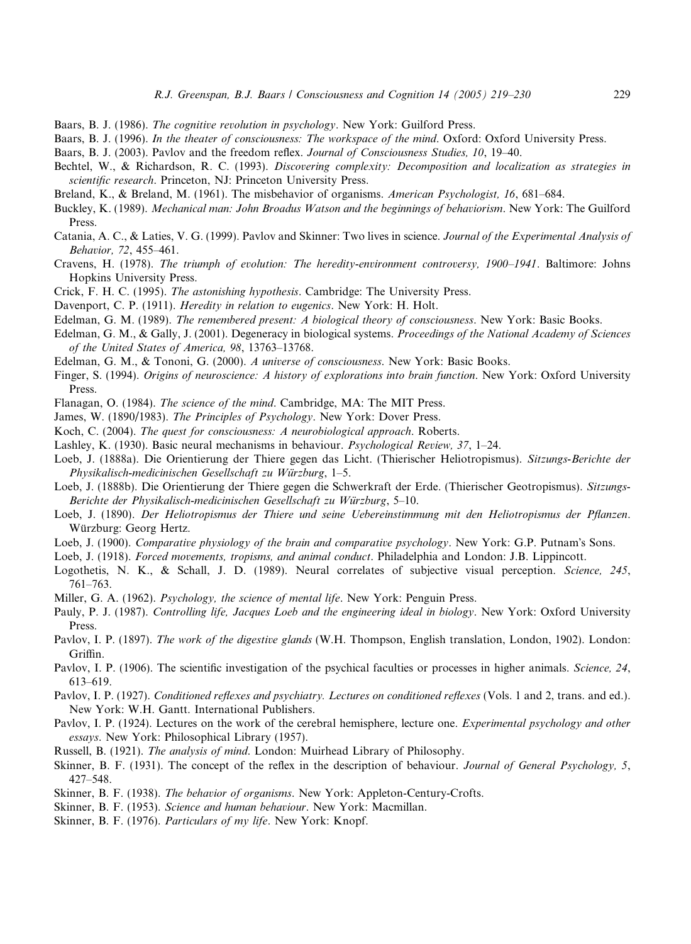- <span id="page-10-0"></span>Baars, B. J. (1986). The cognitive revolution in psychology. New York: Guilford Press.
- Baars, B. J. (1996). In the theater of consciousness: The workspace of the mind. Oxford: Oxford University Press.
- Baars, B. J. (2003). Pavlov and the freedom reflex. Journal of Consciousness Studies, 10, 19–40.
- Bechtel, W., & Richardson, R. C. (1993). Discovering complexity: Decomposition and localization as strategies in scientific research. Princeton, NJ: Princeton University Press.
- Breland, K., & Breland, M. (1961). The misbehavior of organisms. American Psychologist, 16, 681–684.
- Buckley, K. (1989). Mechanical man: John Broadus Watson and the beginnings of behaviorism. New York: The Guilford Press.
- Catania, A. C., & Laties, V. G. (1999). Pavlov and Skinner: Two lives in science. Journal of the Experimental Analysis of Behavior, 72, 455–461.
- Cravens, H. (1978). The triumph of evolution: The heredity-environment controversy, 1900–1941. Baltimore: Johns Hopkins University Press.
- Crick, F. H. C. (1995). The astonishing hypothesis. Cambridge: The University Press.
- Davenport, C. P. (1911). Heredity in relation to eugenics. New York: H. Holt.
- Edelman, G. M. (1989). The remembered present: A biological theory of consciousness. New York: Basic Books.
- Edelman, G. M., & Gally, J. (2001). Degeneracy in biological systems. Proceedings of the National Academy of Sciences of the United States of America, 98, 13763–13768.
- Edelman, G. M., & Tononi, G. (2000). A universe of consciousness. New York: Basic Books.
- Finger, S. (1994). Origins of neuroscience: A history of explorations into brain function. New York: Oxford University Press.
- Flanagan, O. (1984). The science of the mind. Cambridge, MA: The MIT Press.
- James, W. (1890/1983). The Principles of Psychology. New York: Dover Press.
- Koch, C. (2004). The quest for consciousness: A neurobiological approach. Roberts.
- Lashley, K. (1930). Basic neural mechanisms in behaviour. Psychological Review, 37, 1–24.
- Loeb, J. (1888a). Die Orientierung der Thiere gegen das Licht. (Thierischer Heliotropismus). Sitzungs-Berichte der Physikalisch-medicinischen Gesellschaft zu Würzburg, 1-5.
- Loeb, J. (1888b). Die Orientierung der Thiere gegen die Schwerkraft der Erde. (Thierischer Geotropismus). Sitzungs-Berichte der Physikalisch-medicinischen Gesellschaft zu Würzburg, 5–10.
- Loeb, J. (1890). Der Heliotropismus der Thiere und seine Uebereinstimmung mit den Heliotropismus der Pflanzen. Würzburg: Georg Hertz.
- Loeb, J. (1900). Comparative physiology of the brain and comparative psychology. New York: G.P. Putnam's Sons.
- Loeb, J. (1918). Forced movements, tropisms, and animal conduct. Philadelphia and London: J.B. Lippincott.
- Logothetis, N. K., & Schall, J. D. (1989). Neural correlates of subjective visual perception. Science, 245, 761–763.
- Miller, G. A. (1962). *Psychology, the science of mental life*. New York: Penguin Press.
- Pauly, P. J. (1987). Controlling life, Jacques Loeb and the engineering ideal in biology. New York: Oxford University Press.
- Pavlov, I. P. (1897). The work of the digestive glands (W.H. Thompson, English translation, London, 1902). London: Griffin.
- Pavlov, I. P. (1906). The scientific investigation of the psychical faculties or processes in higher animals. Science, 24, 613–619.
- Pavlov, I. P. (1927). Conditioned reflexes and psychiatry. Lectures on conditioned reflexes (Vols. 1 and 2, trans. and ed.). New York: W.H. Gantt. International Publishers.
- Pavlov, I. P. (1924). Lectures on the work of the cerebral hemisphere, lecture one. Experimental psychology and other essays. New York: Philosophical Library (1957).
- Russell, B. (1921). The analysis of mind. London: Muirhead Library of Philosophy.
- Skinner, B. F. (1931). The concept of the reflex in the description of behaviour. Journal of General Psychology, 5, 427–548.
- Skinner, B. F. (1938). The behavior of organisms. New York: Appleton-Century-Crofts.
- Skinner, B. F. (1953). Science and human behaviour. New York: Macmillan.
- Skinner, B. F. (1976). Particulars of my life. New York: Knopf.